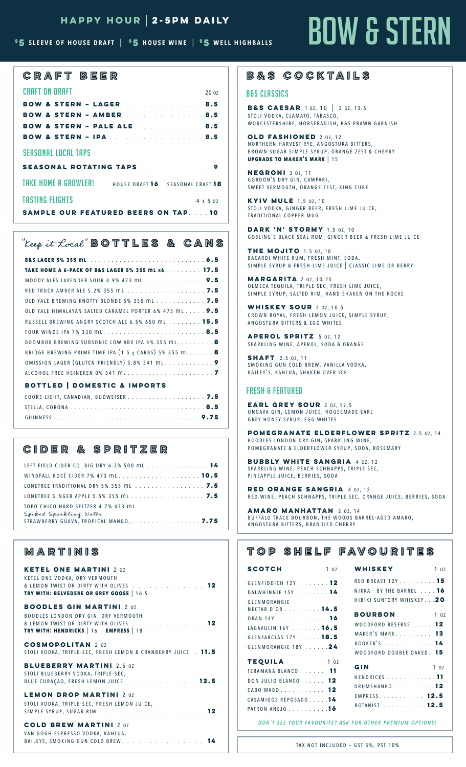## **happy hour** | **2-5pm daily**

#### **\$5 sleeve of house draft** | **\$5 house wine** | **\$5 well highballs**

# Bow & Stern

#### **craft beer craft beer**

| CRAFT ON DRAFT                                               | 20 oz    |
|--------------------------------------------------------------|----------|
| <b>BOW &amp; STERN - LAGER. 8.5</b>                          |          |
| <b>BOW &amp; STERN - AMBER</b> 8.5                           |          |
| <b>BOW &amp; STERN - PALE ALE</b> 8.5                        |          |
| <b>BOW &amp; STERN - IPA 8.5</b>                             |          |
| SFASONAL LOCAL TAPS                                          |          |
|                                                              |          |
| <b>TAKE HOME A GROWLER!</b> HOUSE DRAFT 16 SEASONAL CRAFT 18 |          |
| <b>TASTING FLIGHTS</b>                                       | 4 x 5 07 |
| SAMPLE OUR FEATURED BEERS ON TAP 10                          |          |

## "Keep it Local" **Bottles & Cans Bottles & Cans**

| TAKE HOME A 6-PACK OF B&S LAGER 5% 355 ML x6. 17.5      |  |
|---------------------------------------------------------|--|
| MOODY ALES LAVENDER SOUR 4.9% 473 ML 9.5                |  |
|                                                         |  |
| OLD YALE BREWING KNOTTY BLONDE 5% 355 ML 7.5            |  |
| OLD YALE HIMALAYAN SALTED CARAMEL PORTER 6% 473 ML 9.5  |  |
| RUSSELL BREWING ANGRY SCOTCH ALE 6.5% 650 ML 15.5       |  |
|                                                         |  |
| BOOMBOX BREWING SUBSONIC LOW ABV IPA 4% 355 ML. 8       |  |
| BRIDGE BREWING PRIME TIME IPA (1.5 g CARBS) 5% 355 ML 8 |  |
| OMISSION LAGER (GLUTEN-FRIENDLY) 5.8% 341 ML9           |  |
|                                                         |  |
| <b>BOTTLED   DOMESTIC &amp; IMPORTS</b>                 |  |
|                                                         |  |
| STELLA, CORONA8.5                                       |  |
|                                                         |  |

# **cider & spritzer**

| LEFT FIELD CIDER CO. BIG DRY 6.3% 500 ML 14                                                                    |  |
|----------------------------------------------------------------------------------------------------------------|--|
|                                                                                                                |  |
|                                                                                                                |  |
|                                                                                                                |  |
| TOPO CHICO HARD SELTZER 4.7% 473 ML<br>Spiked Sparkling Water<br>STRAWBERRY GUAVA, TROPICAL MANGO, <b>7.75</b> |  |

## **martinis martinis**

| <b>KETEL ONE MARTINI 2 0Z</b><br>KETEL ONE VODKA, DRY VERMOUTH<br>& LEMON TWIST OR DIRTY WITH OLIVES 12<br>TRY WITH: BELVEDERE OR GREY GOOSE   16.5      |
|----------------------------------------------------------------------------------------------------------------------------------------------------------|
| <b>BOODLES GIN MARTINI 202</b><br>BOODLES LONDON DRY GIN, DRY VERMOUTH<br>& LEMON TWIST OR DIRTY WITH OLIVES 12<br>TRY WITH: HENDRICKS   16 EMPRESS   18 |
| <b>COSMOPOLITAN 202</b><br>STOLI VODKA, TRIPLE-SEC, FRESH LEMON & CRANBERRY JUICE . 11.5                                                                 |
| <b>BLUEBERRY MARTINI 2.5 0Z</b><br>STOLI BLUEBERRY VODKA, TRIPLE-SEC,<br>BLUE CURAÇÃO, FRESH LEMON JUICE 12.5                                            |
| <b>LEMON DROP MARTINI 202</b><br>STOLI VODKA, TRIPLE-SEC, FRESH LEMON JUICE,                                                                             |
| <b>COLD BREW MARTINI 2 0Z</b><br>VAN GOGH ESPRESSO VODKA, KAHLUA,<br>BAILEYS, SMOKING GUN COLD BREW. 14                                                  |

# **B&S cocktails B&S Cocktails**

#### B&S Classics

**B&S caesar** 1 oz, 10 | 2 oz, 13.5 STOLI VODKA, CLAMATO, TABASCO, worcestershire, horseradish, b&s prawn garnish

**OLD FASHIONED** 2 0Z, 12 NORTHERN HARVEST RYE, ANGOSTURA BITTERS, brown sugar simple syrup, orange zest & cherry **upgrade to maker's mark** | 15

**NEGRONI** 3 0Z, 11 GORDON'S DRY GIN, CAMPARI, sweet vermouth, orange zest, king cube

**KYIV MULE** 1.5 0Z, 10 STOLI VODKA, GINGER BEER, FRESH LIME JUICE, traditional copper mug

**DARK 'N' STORMY** 1.5 0Z, 10 gosling's black seal rum, ginger beer & fresh lime juice

**THE MOJITO 1.5 0Z, 10** BACARDI WHITE RUM, FRESH MINT, SODA, simple syrup & fresh lime juice | classic lime or berry

**margarita** 2 oz, 10.25 OLMECA TEQUILA, TRIPLE SEC, FRESH LIME JUICE, simple syrup, salted rim, hand shaken on the rocks

**whiskey sour** 2 oz, 10.5 CROWN ROYAL, FRESH LEMON JUICE, SIMPLE SYRUP, ANGOSTURA BITTERS & EGG WHITES

**APEROL SPRITZ** 5 0Z, 12 sparkling wine, aperol, soda & orange

**SHAFT** 2.5 0Z, 11 smoking gun cold brew, vanilla vodka, bailey's, kahlua, shaken over ice

#### Fresh & Featured

**Earl Grey Sour** 2 oz, 12.5 ungava gin, lemon juice, housemade earl grey honey syrup, egg whites

**POMEGRANATE ELDERFLOWER SPRITZ** 2.5 0Z, 14 boodles london dry gin, sparkling wine, pomegranate & elderflower syrup, soda, rosemary

**BUBBLY WHITE SANGRIA** 4 0Z, 12 sparkling wine, peach schnapps, triple sec, pineapple juice, berries, soda

**RED ORANGE SANGRIA** 4 0Z, 12 red wine, peach schnapps, triple sec, orange juice, berries, soda

**amaro manhattan** 2 oz, 1 4 buffalo trace bourbon, the woods barrel-aged amaro, angostura bitters, brandied cherry

## **top shelf favourites top shelf favourites**

| <b>SCOTCH</b>                                                                                                                                                          | 102 | WHISKEY                                                                                                                                                                               | 10Z |
|------------------------------------------------------------------------------------------------------------------------------------------------------------------------|-----|---------------------------------------------------------------------------------------------------------------------------------------------------------------------------------------|-----|
| GLENFIDDICH $12Y$ 12<br>DALWHINNIE 15Y 14<br>GLENMORANGIE<br>NECTAR D'OR 14.5<br>0 B A N 14 Y 16<br>LAGAVULIN 16Y  16.5<br>GLENFARCLAS 17Y 18.5<br>GLENMORANGIE 18Y 24 |     | RED BREAST 12Y 15<br>NIKKA - BY THE BARREL 16<br>HIBIKI SUNTORY WHISKEY20<br><b>BOURBON</b> 10Z<br>WOODFORD RESERVE 12<br>MAKER'S MARK 13<br>BOOKER'S 14<br>WOODFORD DOUBLE OAKED. 15 |     |
| TEQUILA<br>TERAMANA BLANCO 11<br>DON JULIO BLANCO 12<br>CABO WABO 12<br>CASAMIGOS REPOSADO <b>14</b><br>PATRON ANEJO 16                                                | 102 | GIN<br>HENDRICKS 11<br>DRUMSHANBO 12<br>EMPRESS 12.5<br>BOTANIST 12.5                                                                                                                 | 10Z |

*don't see your favourite? ask for other premium options!*

tax not included – gst 5%, pst 10%